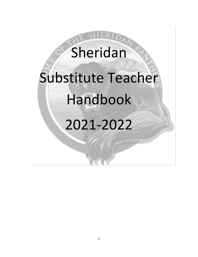# Sheridan Substitute Teacher Handbook 2021-2022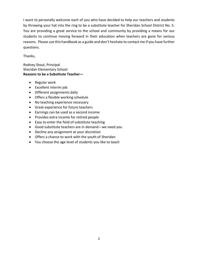I want to personally welcome each of you who have decided to help our teachers and students by throwing your hat into the ring to be a substitute teacher for Sheridan School District No. 5. You are providing a great service to the school and community by providing a means for our students to continue moving forward in their education when teachers are gone for various reasons. Please use this handbook as a guide and don't hesitate to contact me if you have further questions.

#### Thanks,

Rodney Stout, Principal Sheridan Elementary School **Reasons to be a Substitute Teacher—**

- Regular work
- Excellent interim job
- Different assignments daily
- Offers a flexible working schedule
- No teaching experience necessary
- Great experience for future teachers
- Earnings can be used as a second income
- Provides extra income for retired people
- Easy to enter the field of substitute teaching
- Good substitute teachers are in demand—we need you
- Decline any assignment at your discretion
- Offers a chance to work with the youth of Sheridan
- You choose the age level of students you like to teach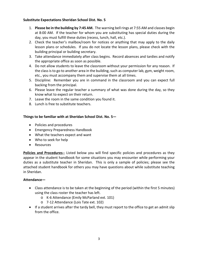#### **Substitute Expectations Sheridan School Dist. No. 5**

- 1. **Please be in the building by 7:45 AM.** The warning bell rings at 7:55 AM and classes begin at 8:00 AM. If the teacher for whom you are substituting has special duties during the day, you must fulfill these duties (recess, lunch, hall, etc.).
- 2. Check the teacher's mailbox/room for notices or anything that may apply to the daily lesson plans or schedules. If you do not locate the lesson plans, please check with the building principal or building secretary.
- 3. Take attendance immediately after class begins. Record absences and tardies and notify the appropriate office as soon as possible.
- 4. Do not allow students to leave the classroom without your permission for any reason. If the class is to go to another area in the building, such as computer lab, gym, weight room, etc., you must accompany them and supervise them at all times.
- 5. Discipline: Remember you are in command in the classroom and you can expect full backing from the principal.
- 6. Please leave the regular teacher a summary of what was done during the day, so they know what to expect on their return.
- 7. Leave the room in the same condition you found it.
- 8. Lunch is free to substitute teachers.

#### **Things to be familiar with at Sheridan School Dist. No. 5—**

- Policies and procedures
- Emergency Preparedness Handbook
- What the teachers expect and want
- Who to seek for help
- Resources

**Policies and Procedures--** Listed below you will find specific policies and procedures as they appear in the student handbook for some situations you may encounter while performing your duties as a substitute teacher in Sheridan. This is only a sample of policies; please see the attached student handbook for others you may have questions about while substitute teaching in Sheridan.

#### **Attendance—**

- Class attendance is to be taken at the beginning of the period (within the first 5 minutes) using the class roster the teacher has left.
	- o K-6 Attendance (Emily McParland ext. 101)
	- o 7-12 Attendance (Lois Tate ext. 102)
- If a student arrives after the tardy bell, they must report to the office to get an admit slip from the office.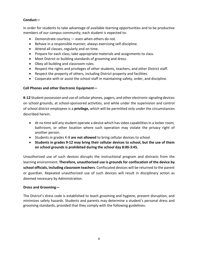#### **Conduct—**

In order for students to take advantage of available learning opportunities and to be productive members of our campus community, each student is expected to:

- Demonstrate courtesy even when others do not.
- Behave in a responsible manner, always exercising self-discipline.
- Attend all classes, regularly and on time.
- Prepare for each class; take appropriate materials and assignments to class.
- Meet District or building standards of grooming and dress.
- Obey all building and classroom rules.
- Respect the rights and privileges of other students, teachers, and other District staff.
- Respect the property of others, including District property and facilities.
- Cooperate with or assist the school staff in maintaining safety, order, and discipline.

#### **Cell Phones and other Electronic Equipment—**

**K-12** Student possession and use of cellular phones, pagers, and other electronic signaling devices on school grounds, at school-sponsored activities, and while under the supervision and control of school district employees is a **privilege,** which will be permitted only under the circumstances described herein.

- At no time will any student operate a device which has video capabilities in a locker room, bathroom, or other location where such operation may violate the privacy right of another person.
- Students in grades K-8 **are not allowed** to bring cellular devices to school.
- **Students in grades 9-12 may bring their cellular devices to school, but the use of them on school grounds is prohibited during the school day 8:00-3:45.**

Unauthorized use of such devices disrupts the instructional program and distracts from the learning environment. **Therefore, unauthorized use is grounds for confiscation of the device by school officials, including classroom teachers**. Confiscated devices will be returned to the parent or guardian. Repeated unauthorized use of such devices will result in disciplinary action as deemed necessary by Administration.

#### **Dress and Grooming—**

The District's dress code is established to teach grooming and hygiene, prevent disruption, and minimizes safety hazards. Students and parents may determine a student's personal dress and grooming standards, provided that they comply with the following guidelines: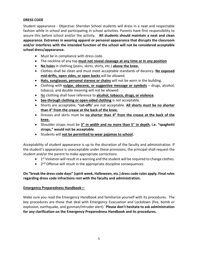#### **DRESS CODE**

Student appearance - Objective: Sheridan School students will dress in a neat and respectable fashion while in school and participating in school activities. Parents have first responsibility to assure this before school and/or the activity. **All students should maintain a neat and clean appearance. Extremes in wearing apparel or personal appearance that disrupts the classroom and/or interferes with the intended function of the school will not be considered acceptable school dress/appearance.**

- Must be in compliance with dress code.
- The neckline of any top **must not reveal cleavage at any time or in any position**
- **No holes** in clothing (jeans, skirts, shirts, etc.) **above the knee.**
- Clothes shall be clean and must meet acceptable standards of decency. **No exposed mid-drifts, open sides, or open backs** will be allowed.
- **Hats, sunglasses, personal stereos or chains** will not be worn in the building.
- Clothing with **vulgar, obscene, or suggestive message or symbols** drugs, alcohol, tobacco, and double meaning will not be allowed.
- No clothing shall have reference to **alcohol, tobacco, drugs, or violence**.
- **See-through clothing or open-sided clothing** is not acceptable.
- Shorts are acceptable; **"cut-offs'** are not acceptable. **All shorts must be no shorter than 4" from the crease at the back of the knee.**
- Dresses and skirts must be **no shorter than 4" from the crease at the back of the knee.**
- Shoulder straps must be **3" in width and no more than 5" in depth, i.e. "spaghetti straps," would not be acceptable**.
- Students will **not be permitted to wear pajamas to school.**

Acceptability of student appearance is up to the discretion of the faculty and administration. If the student's appearance is unacceptable under these provisions, the principal shall request the student and/or the parent to make appropriate corrections.

- 1<sup>st</sup> Violation will result in a warning and the student will be required to change clothes.
- 2<sup>nd</sup> Offense will result in the appropriate discipline consequences.

#### **On "break the dress code days" (spirit week, Halloween, etc.) dress code rules apply. Final rules regarding dress code infractions rest with the faculty and administration.**

#### **Emergency Preparedness Handbook—**

Make sure you read the Emergency Handbook and familiarize yourself with its procedures. The key procedures are those that deal with Emergency Evacuation and Lockdown (fire, bomb or explosion, earthquake, and gunman/intruder alert). **Please don't hesitate to ask administration for any clarification on the Emergency Preparedness Handbook and its procedures.**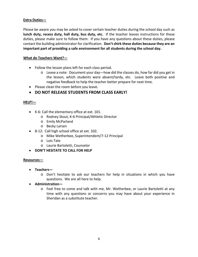#### **Extra Duties—**

Please be aware you may be asked to cover certain teacher duties during the school day such as **lunch duty, recess duty, hall duty, bus duty, etc.** If the teacher leaves instructions for these duties, please make sure to follow them. If you have any questions about these duties, please contact the building administrator for clarification. **Don't shirk these duties because they are an important part of providing a safe environment for all students during the school day.**

#### **What do Teachers Want?—**

- Follow the lesson plans left for each class period.
	- $\circ$  Leave a note: Document your day—how did the classes do, how far did you get in the lesson, which students were absent/tardy, etc. Leave both positive and negative feedback to help the teacher better prepare for next time.
- Please clean the room before you leave.

### • **DO NOT RELEASE STUDENTS FROM CLASS EARLY!**

#### **HELP!—**

- K-6: Call the elementary office at ext. 101.
	- o Rodney Stout, K-6 Principal/Athletic Director
	- o Emily McParland
	- o Becky Larsen
- 8-12: Call high school office at ext. 102.
	- o Mike Wetherbee, Superintendent/7-12 Principal
	- o Lois Tate
	- o Laurie Bartoletti, Counselor
- **DON'T HESITATE TO CALL FOR HELP**

#### **Resources—**

- **Teachers**
	- o Don't hesitate to ask our teachers for help in situations in which you have questions. We are all here to help.
- **Administration**
	- o Feel free to come and talk with me, Mr. Wetherbee, or Laurie Bartoletti at any time with any questions or concerns you may have about your experience in Sheridan as a substitute teacher.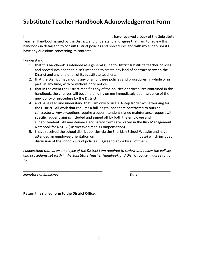## **Substitute Teacher Handbook Acknowledgement Form**

I,\_\_\_\_\_\_\_\_\_\_\_\_\_\_\_\_\_\_\_\_\_\_\_\_\_\_\_\_\_\_\_\_\_\_\_\_\_\_\_\_\_\_\_\_\_, have received a copy of the Substitute Teacher Handbook issued by the District, and understand and agree that I am to review this handbook in detail and to consult District policies and procedures and with my supervisor if I have any questions concerning its contents.

I understand:

- 1. that this handbook is intended as a general guide to District substitute teacher policies and procedures and that it isn't intended to create any kind of contract between the District and any one or all of its substitute teachers;
- 2. that the District may modify any or all of these policies and procedures, in whole or in part, at any time, with or without prior notice;
- 3. that in the event the District modifies any of the policies or procedures contained in this handbook, the changes will become binding on me immediately upon issuance of the new policy or procedure by the District;
- 4. and have read and understand that I am only to use a 3-step ladder while working for the District. All work that requires a full length ladder are contracted to outside contractors. Any exceptions require a superintendent signed maintenance request with specific ladder training included and signed off by both the employee and superintendent. All maintenance and safety forms are placed in the Risk Management Notebook for MSGIA (District Workman's Compensation).
- 5. I have received the school district policies via the Sheridan School Website and have attended an employee orientation on \_\_\_\_\_\_\_\_\_\_\_\_\_\_\_\_\_\_\_\_\_\_\_\_\_(date) which included discussion of the school district policies. I agree to abide by all of them.

*I understand that as an employee of the District I am required to review and follow the policies and procedures set forth in the Substitute Teacher Handbook and District policy. I agree to do so.*

\_\_\_\_\_\_\_\_\_\_\_\_\_\_\_\_\_\_\_\_\_\_\_\_\_\_\_\_\_\_\_\_\_\_\_\_\_\_\_\_\_ \_\_\_\_\_\_\_\_\_\_\_\_\_\_\_\_\_\_\_\_\_

*Signature of Employee Date*

**Return this signed form to the District Office.**